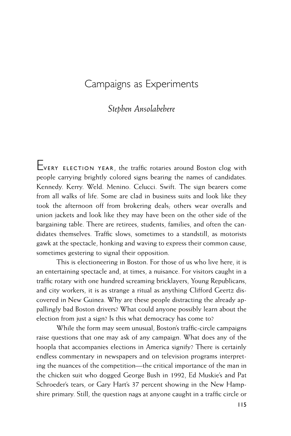# Campaigns as Experiments

# *Stephen Ansolabehere*

 $E$ VERY ELECTION YEAR, the traffic rotaries around Boston clog with people carrying brightly colored signs bearing the names of candidates. Kennedy. Kerry. Weld. Menino. Celucci. Swift. The sign bearers come from all walks of life. Some are clad in business suits and look like they took the afternoon off from brokering deals; others wear overalls and union jackets and look like they may have been on the other side of the bargaining table. There are retirees, students, families, and often the candidates themselves. Traffic slows, sometimes to a standstill, as motorists gawk at the spectacle, honking and waving to express their common cause, sometimes gestering to signal their opposition.

This is electioneering in Boston. For those of us who live here, it is an entertaining spectacle and, at times, a nuisance. For visitors caught in a traffic rotary with one hundred screaming bricklayers, Young Republicans, and city workers, it is as strange a ritual as anything Clifford Geertz discovered in New Guinea. Why are these people distracting the already appallingly bad Boston drivers? What could anyone possibly learn about the election from just a sign? Is this what democracy has come to?

While the form may seem unusual, Boston's traffic-circle campaigns raise questions that one may ask of any campaign. What does any of the hoopla that accompanies elections in America signify? There is certainly endless commentary in newspapers and on television programs interpreting the nuances of the competition—the critical importance of the man in the chicken suit who dogged George Bush in 1992, Ed Muskie's and Pat Schroeder's tears, or Gary Hart's 37 percent showing in the New Hampshire primary. Still, the question nags at anyone caught in a traffic circle or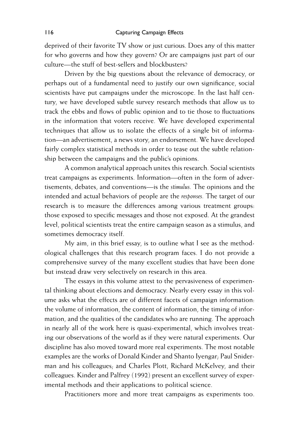deprived of their favorite TV show or just curious. Does any of this matter for who governs and how they govern? Or are campaigns just part of our culture—the stuff of best-sellers and blockbusters?

Driven by the big questions about the relevance of democracy, or perhaps out of a fundamental need to justify our own significance, social scientists have put campaigns under the microscope. In the last half century, we have developed subtle survey research methods that allow us to track the ebbs and flows of public opinion and to tie those to fluctuations in the information that voters receive. We have developed experimental techniques that allow us to isolate the effects of a single bit of information—an advertisement, a news story, an endorsement. We have developed fairly complex statistical methods in order to tease out the subtle relationship between the campaigns and the public's opinions.

A common analytical approach unites this research. Social scientists treat campaigns as experiments. Information—often in the form of advertisements, debates, and conventions—is the *stimulus.* The opinions and the intended and actual behaviors of people are the *responses.* The target of our research is to measure the differences among various treatment groups: those exposed to specific messages and those not exposed. At the grandest level, political scientists treat the entire campaign season as a stimulus, and sometimes democracy itself.

My aim, in this brief essay, is to outline what I see as the methodological challenges that this research program faces. I do not provide a comprehensive survey of the many excellent studies that have been done but instead draw very selectively on research in this area.

The essays in this volume attest to the pervasiveness of experimental thinking about elections and democracy. Nearly every essay in this volume asks what the effects are of different facets of campaign information: the volume of information, the content of information, the timing of information, and the qualities of the candidates who are running. The approach in nearly all of the work here is quasi-experimental, which involves treating our observations of the world as if they were natural experiments. Our discipline has also moved toward more real experiments. The most notable examples are the works of Donald Kinder and Shanto Iyengar; Paul Sniderman and his colleagues; and Charles Plott, Richard McKelvey, and their colleagues. Kinder and Palfrey (1992) present an excellent survey of experimental methods and their applications to political science.

Practitioners more and more treat campaigns as experiments too.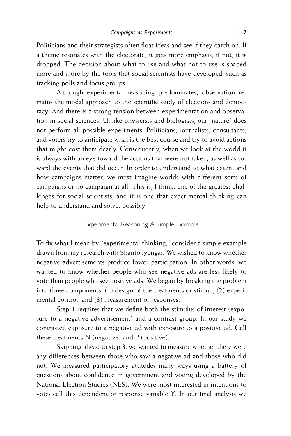Politicians and their strategists often float ideas and see if they catch on. If a theme resonates with the electorate, it gets more emphasis; if not, it is dropped. The decision about what to use and what not to use is shaped more and more by the tools that social scientists have developed, such as tracking polls and focus groups.

Although experimental reasoning predominates, observation remains the modal approach to the scientific study of elections and democracy. And there is a strong tension between experimentation and observation in social sciences. Unlike physicists and biologists, our "nature" does not perform all possible experiments. Politicians, journalists, consultants, and voters try to anticipate what is the best course and try to avoid actions that might cost them dearly. Consequently, when we look at the world it is always with an eye toward the actions that were not taken, as well as toward the events that did occur. In order to understand to what extent and how campaigns matter, we must imagine worlds with different sorts of campaigns or no campaign at all. This is, I think, one of the greatest challenges for social scientists, and it is one that experimental thinking can help to understand and solve, possibly.

## Experimental Reasoning: A Simple Example

To fix what I mean by "experimental thinking," consider a simple example drawn from my research with Shanto Iyengar. We wished to know whether negative advertisements produce lower participation. In other words, we wanted to know whether people who see negative ads are less likely to vote than people who see positive ads. We began by breaking the problem into three components: (1) design of the treatments or stimuli, (2) experimental control, and (3) measurement of responses.

Step 1 requires that we define both the stimulus of interest (exposure to a negative advertisement) and a contrast group. In our study we contrasted exposure to a negative ad with exposure to a positive ad. Call these treatments  $N$  (negative) and  $P$  (positive).

Skipping ahead to step 3, we wanted to measure whether there were any differences between those who saw a negative ad and those who did not. We measured participatory attitudes many ways using a battery of questions about confidence in government and voting developed by the National Election Studies (NES). We were most interested in intentions to vote; call this dependent or response variable Y. In our final analysis we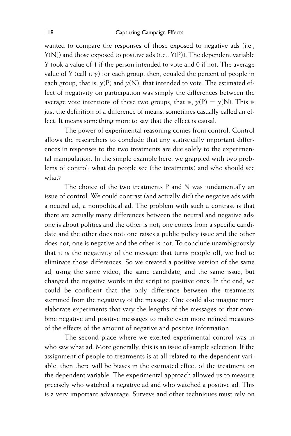wanted to compare the responses of those exposed to negative ads (i.e., *Y*(N)) and those exposed to positive ads (i.e., *Y*(P)). The dependent variable *Y* took a value of 1 if the person intended to vote and 0 if not. The average value of *Y* (call it *y*) for each group, then, equaled the percent of people in each group, that is,  $\gamma(P)$  and  $\gamma(N)$ , that intended to vote. The estimated effect of negativity on participation was simply the differences between the average vote intentions of these two groups, that is,  $y(P) - y(N)$ . This is just the definition of a difference of means, sometimes casually called an effect. It means something more to say that the effect is causal.

The power of experimental reasoning comes from control. Control allows the researchers to conclude that any statistically important differences in responses to the two treatments are due solely to the experimental manipulation. In the simple example here, we grappled with two problems of control: what do people see (the treatments) and who should see what?

The choice of the two treatments P and N was fundamentally an issue of control. We could contrast (and actually did) the negative ads with a neutral ad, a nonpolitical ad. The problem with such a contrast is that there are actually many differences between the neutral and negative ads: one is about politics and the other is not; one comes from a specific candidate and the other does not; one raises a public policy issue and the other does not; one is negative and the other is not. To conclude unambiguously that it is the negativity of the message that turns people off, we had to eliminate those differences. So we created a positive version of the same ad, using the same video, the same candidate, and the same issue, but changed the negative words in the script to positive ones. In the end, we could be confident that the only difference between the treatments stemmed from the negativity of the message. One could also imagine more elaborate experiments that vary the lengths of the messages or that combine negative and positive messages to make even more refined measures of the effects of the amount of negative and positive information.

The second place where we exerted experimental control was in who saw what ad. More generally, this is an issue of sample selection. If the assignment of people to treatments is at all related to the dependent variable, then there will be biases in the estimated effect of the treatment on the dependent variable. The experimental approach allowed us to measure precisely who watched a negative ad and who watched a positive ad. This is a very important advantage. Surveys and other techniques must rely on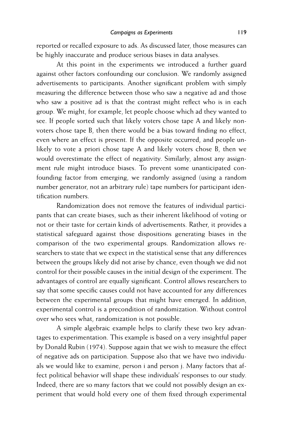reported or recalled exposure to ads. As discussed later, those measures can be highly inaccurate and produce serious biases in data analyses.

At this point in the experiments we introduced a further guard against other factors confounding our conclusion. We randomly assigned advertisements to participants. Another significant problem with simply measuring the difference between those who saw a negative ad and those who saw a positive ad is that the contrast might reflect who is in each group. We might, for example, let people choose which ad they wanted to see. If people sorted such that likely voters chose tape A and likely nonvoters chose tape  $B$ , then there would be a bias toward finding no effect, even where an effect is present. If the opposite occurred, and people unlikely to vote a priori chose tape A and likely voters chose B, then we would overestimate the effect of negativity. Similarly, almost any assignment rule might introduce biases. To prevent some unanticipated confounding factor from emerging, we randomly assigned (using a random number generator, not an arbitrary rule) tape numbers for participant identification numbers.

Randomization does not remove the features of individual participants that can create biases, such as their inherent likelihood of voting or not or their taste for certain kinds of advertisements. Rather, it provides a statistical safeguard against those dispositions generating biases in the comparison of the two experimental groups. Randomization allows researchers to state that we expect in the statistical sense that any differences between the groups likely did not arise by chance, even though we did not control for their possible causes in the initial design of the experiment. The advantages of control are equally significant. Control allows researchers to say that some specific causes could not have accounted for any differences between the experimental groups that might have emerged. In addition, experimental control is a precondition of randomization. Without control over who sees what, randomization is not possible.

A simple algebraic example helps to clarify these two key advantages to experimentation. This example is based on a very insightful paper by Donald Rubin (1974). Suppose again that we wish to measure the effect of negative ads on participation. Suppose also that we have two individuals we would like to examine, person i and person j. Many factors that affect political behavior will shape these individuals' responses to our study. Indeed, there are so many factors that we could not possibly design an experiment that would hold every one of them fixed through experimental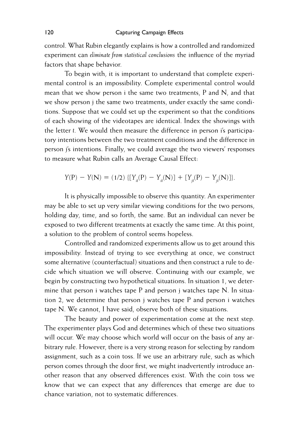control. What Rubin elegantly explains is how a controlled and randomized experiment can *eliminate* from statistical conclusions the influence of the myriad factors that shape behavior.

To begin with, it is important to understand that complete experimental control is an impossibility. Complete experimental control would mean that we show person i the same two treatments, P and N, and that we show person j the same two treatments, under exactly the same conditions. Suppose that we could set up the experiment so that the conditions of each showing of the videotapes are identical. Index the showings with the letter *t*. We would then measure the difference in person i's participatory intentions between the two treatment conditions and the difference in person j's intentions. Finally, we could average the two viewers' responses to measure what Rubin calls an Average Causal Effect:

$$
Y(P) - Y(N) = (1/2) \{ [Y_{it}(P) - Y_{it}(N)] + [Y_{jt}(P) - Y_{jt}(N)] \}.
$$

It is physically impossible to observe this quantity. An experimenter may be able to set up very similar viewing conditions for the two persons, holding day, time, and so forth, the same. But an individual can never be exposed to two different treatments at exactly the same time. At this point, a solution to the problem of control seems hopeless.

Controlled and randomized experiments allow us to get around this impossibility. Instead of trying to see everything at once, we construct some alternative (counterfactual) situations and then construct a rule to decide which situation we will observe. Continuing with our example, we begin by constructing two hypothetical situations. In situation 1, we determine that person i watches tape P and person j watches tape N. In situation 2, we determine that person j watches tape P and person i watches tape N. We cannot, I have said, observe both of these situations.

The beauty and power of experimentation come at the next step. The experimenter plays God and determines which of these two situations will occur. We may choose which world will occur on the basis of any arbitrary rule. However, there is a very strong reason for selecting by random assignment, such as a coin toss. If we use an arbitrary rule, such as which person comes through the door first, we might inadvertently introduce another reason that any observed differences exist. With the coin toss we know that we can expect that any differences that emerge are due to chance variation, not to systematic differences.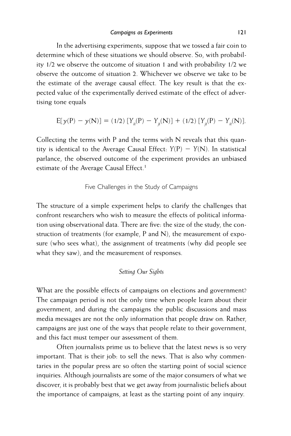In the advertising experiments, suppose that we tossed a fair coin to determine which of these situations we should observe. So, with probability 1/2 we observe the outcome of situation 1 and with probability 1/2 we observe the outcome of situation 2. Whichever we observe we take to be the estimate of the average causal effect. The key result is that the expected value of the experimentally derived estimate of the effect of advertising tone equals

$$
E[y(P) - y(N)] = (1/2) [Y_{it}(P) - Y_{jt}(N)] + (1/2) [Y_{jt}(P) - Y_{it}(N)].
$$

Collecting the terms with P and the terms with N reveals that this quantity is identical to the Average Causal Effect:  $Y(P) - Y(N)$ . In statistical parlance, the observed outcome of the experiment provides an unbiased estimate of the Average Causal Effect.<sup>1</sup>

Five Challenges in the Study of Campaigns

The structure of a simple experiment helps to clarify the challenges that confront researchers who wish to measure the effects of political information using observational data. There are five: the size of the study, the construction of treatments (for example, P and N), the measurement of exposure (who sees what), the assignment of treatments (why did people see what they saw), and the measurement of responses.

*Setting Our Sights*

What are the possible effects of campaigns on elections and government? The campaign period is not the only time when people learn about their government, and during the campaigns the public discussions and mass media messages are not the only information that people draw on. Rather, campaigns are just one of the ways that people relate to their government, and this fact must temper our assessment of them.

Often journalists prime us to believe that the latest news is so very important. That is their job: to sell the news. That is also why commentaries in the popular press are so often the starting point of social science inquiries. Although journalists are some of the major consumers of what we discover, it is probably best that we get away from journalistic beliefs about the importance of campaigns, at least as the starting point of any inquiry.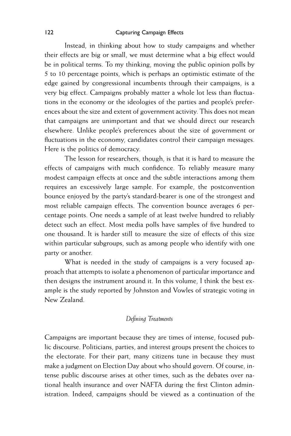### 122 Capturing Campaign Effects

Instead, in thinking about how to study campaigns and whether their effects are big or small, we must determine what a big effect would be in political terms. To my thinking, moving the public opinion polls by 5 to 10 percentage points, which is perhaps an optimistic estimate of the edge gained by congressional incumbents through their campaigns, is a very big effect. Campaigns probably matter a whole lot less than fluctuations in the economy or the ideologies of the parties and people's preferences about the size and extent of government activity. This does not mean that campaigns are unimportant and that we should direct our research elsewhere. Unlike people's preferences about the size of government or fluctuations in the economy, candidates control their campaign messages. Here is the politics of democracy.

The lesson for researchers, though, is that it is hard to measure the effects of campaigns with much confidence. To reliably measure many modest campaign effects at once and the subtle interactions among them requires an excessively large sample. For example, the postconvention bounce enjoyed by the party's standard-bearer is one of the strongest and most reliable campaign effects. The convention bounce averages 6 percentage points. One needs a sample of at least twelve hundred to reliably detect such an effect. Most media polls have samples of five hundred to one thousand. It is harder still to measure the size of effects of this size within particular subgroups, such as among people who identify with one party or another.

What is needed in the study of campaigns is a very focused approach that attempts to isolate a phenomenon of particular importance and then designs the instrument around it. In this volume, I think the best example is the study reported by Johnston and Vowles of strategic voting in New Zealand.

# *Defining Treatments*

Campaigns are important because they are times of intense, focused public discourse. Politicians, parties, and interest groups present the choices to the electorate. For their part, many citizens tune in because they must make a judgment on Election Day about who should govern. Of course, intense public discourse arises at other times, such as the debates over national health insurance and over NAFTA during the first Clinton administration. Indeed, campaigns should be viewed as a continuation of the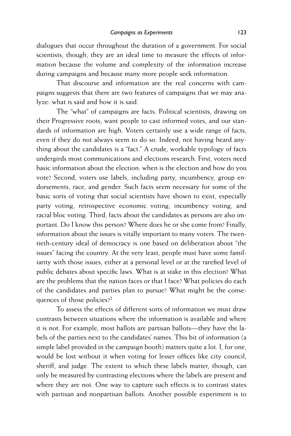dialogues that occur throughout the duration of a government. For social scientists, though, they are an ideal time to measure the effects of information because the volume and complexity of the information increase during campaigns and because many more people seek information.

That discourse and information are the real concerns with campaigns suggests that there are two features of campaigns that we may analyze: what is said and how it is said.

The "what" of campaigns are facts. Political scientists, drawing on their Progressive roots, want people to cast informed votes, and our standards of information are high. Voters certainly use a wide range of facts, even if they do not always seem to do so. Indeed, not having heard anything about the candidates is a "fact." A crude, workable typology of facts undergirds most communications and elections research. First, voters need basic information about the election: when is the election and how do you vote? Second, voters use labels, including party, incumbency, group endorsements, race, and gender. Such facts seem necessary for some of the basic sorts of voting that social scientists have shown to exist, especially party voting, retrospective economic voting, incumbency voting, and racial bloc voting. Third, facts about the candidates as persons are also important. Do I know this person? Where does he or she come from? Finally, information about the issues is vitally important to many voters. The twentieth-century ideal of democracy is one based on deliberation about "the issues" facing the country. At the very least, people must have some familiarity with those issues, either at a personal level or at the rarefied level of public debates about specific laws. What is at stake in this election? What are the problems that the nation faces or that I face? What policies do each of the candidates and parties plan to pursue? What might be the consequences of those policies?<sup>2</sup>

To assess the effects of different sorts of information we must draw contrasts between situations where the information is available and where it is not. For example, most ballots are partisan ballots—they have the labels of the parties next to the candidates' names. This bit of information (a simple label provided in the campaign booth) matters quite a lot. I, for one, would be lost without it when voting for lesser offices like city council, sheriff, and judge. The extent to which these labels matter, though, can only be measured by contrasting elections where the labels are present and where they are not. One way to capture such effects is to contrast states with partisan and nonpartisan ballots. Another possible experiment is to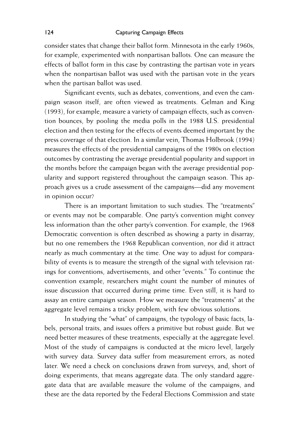### 124 Capturing Campaign Effects

consider states that change their ballot form. Minnesota in the early 1960s, for example, experimented with nonpartisan ballots. One can measure the effects of ballot form in this case by contrasting the partisan vote in years when the nonpartisan ballot was used with the partisan vote in the years when the partisan ballot was used.

Significant events, such as debates, conventions, and even the campaign season itself, are often viewed as treatments. Gelman and King (1993), for example, measure a variety of campaign effects, such as convention bounces, by pooling the media polls in the 1988 U.S. presidential election and then testing for the effects of events deemed important by the press coverage of that election. In a similar vein, Thomas Holbrook (1994) measures the effects of the presidential campaigns of the 1980s on election outcomes by contrasting the average presidential popularity and support in the months before the campaign began with the average presidential popularity and support registered throughout the campaign season. This approach gives us a crude assessment of the campaigns—did any movement in opinion occur?

There is an important limitation to such studies. The "treatments" or events may not be comparable. One party's convention might convey less information than the other party's convention. For example, the 1968 Democratic convention is often described as showing a party in disarray, but no one remembers the 1968 Republican convention, nor did it attract nearly as much commentary at the time. One way to adjust for comparability of events is to measure the strength of the signal with television ratings for conventions, advertisements, and other "events." To continue the convention example, researchers might count the number of minutes of issue discussion that occurred during prime time. Even still, it is hard to assay an entire campaign season. How we measure the "treatments" at the aggregate level remains a tricky problem, with few obvious solutions.

In studying the "what" of campaigns, the typology of basic facts, labels, personal traits, and issues offers a primitive but robust guide. But we need better measures of these treatments, especially at the aggregate level. Most of the study of campaigns is conducted at the micro level, largely with survey data. Survey data suffer from measurement errors, as noted later. We need a check on conclusions drawn from surveys, and, short of doing experiments, that means aggregate data. The only standard aggregate data that are available measure the volume of the campaigns, and these are the data reported by the Federal Elections Commission and state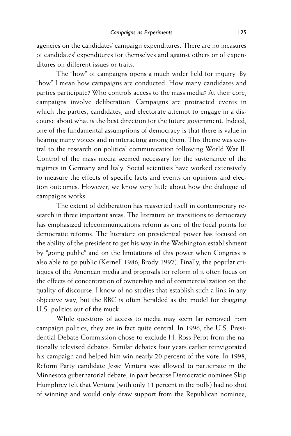agencies on the candidates' campaign expenditures. There are no measures of candidates' expenditures for themselves and against others or of expenditures on different issues or traits.

The "how" of campaigns opens a much wider field for inquiry. By "how" I mean how campaigns are conducted. How many candidates and parties participate? Who controls access to the mass media? At their core, campaigns involve deliberation. Campaigns are protracted events in which the parties, candidates, and electorate attempt to engage in a discourse about what is the best direction for the future government. Indeed, one of the fundamental assumptions of democracy is that there is value in hearing many voices and in interacting among them. This theme was central to the research on political communication following World War II. Control of the mass media seemed necessary for the sustenance of the regimes in Germany and Italy. Social scientists have worked extensively to measure the effects of specific facts and events on opinions and election outcomes. However, we know very little about how the dialogue of campaigns works.

The extent of deliberation has reasserted itself in contemporary research in three important areas. The literature on transitions to democracy has emphasized telecommunications reform as one of the focal points for democratic reforms. The literature on presidential power has focused on the ability of the president to get his way in the Washington establishment by "going public" and on the limitations of this power when Congress is also able to go public (Kernell 1986; Brody 1992). Finally, the popular critiques of the American media and proposals for reform of it often focus on the effects of concentration of ownership and of commercialization on the quality of discourse. I know of no studies that establish such a link in any objective way, but the BBC is often heralded as the model for dragging U.S. politics out of the muck.

While questions of access to media may seem far removed from campaign politics, they are in fact quite central. In 1996, the U.S. Presidential Debate Commission chose to exclude H. Ross Perot from the nationally televised debates. Similar debates four years earlier reinvigorated his campaign and helped him win nearly 20 percent of the vote. In 1998, Reform Party candidate Jesse Ventura was allowed to participate in the Minnesota gubernatorial debate, in part because Democratic nominee Skip Humphrey felt that Ventura (with only 11 percent in the polls) had no shot of winning and would only draw support from the Republican nominee,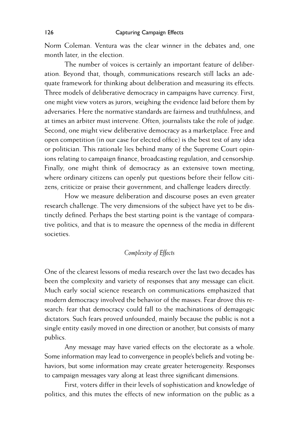Norm Coleman. Ventura was the clear winner in the debates and, one month later, in the election.

The number of voices is certainly an important feature of deliberation. Beyond that, though, communications research still lacks an adequate framework for thinking about deliberation and measuring its effects. Three models of deliberative democracy in campaigns have currency. First, one might view voters as jurors, weighing the evidence laid before them by adversaries. Here the normative standards are fairness and truthfulness, and at times an arbiter must intervene. Often, journalists take the role of judge. Second, one might view deliberative democracy as a marketplace. Free and open competition (in our case for elected office) is the best test of any idea or politician. This rationale lies behind many of the Supreme Court opinions relating to campaign finance, broadcasting regulation, and censorship. Finally, one might think of democracy as an extensive town meeting, where ordinary citizens can openly put questions before their fellow citizens, criticize or praise their government, and challenge leaders directly.

How we measure deliberation and discourse poses an even greater research challenge. The very dimensions of the subject have yet to be distinctly defined. Perhaps the best starting point is the vantage of comparative politics, and that is to measure the openness of the media in different societies.

# *Complexity of Effects*

One of the clearest lessons of media research over the last two decades has been the complexity and variety of responses that any message can elicit. Much early social science research on communications emphasized that modern democracy involved the behavior of the masses. Fear drove this research: fear that democracy could fall to the machinations of demagogic dictators. Such fears proved unfounded, mainly because the public is not a single entity easily moved in one direction or another, but consists of many publics.

Any message may have varied effects on the electorate as a whole. Some information may lead to convergence in people's beliefs and voting behaviors, but some information may create greater heterogeneity. Responses to campaign messages vary along at least three significant dimensions.

First, voters differ in their levels of sophistication and knowledge of politics, and this mutes the effects of new information on the public as a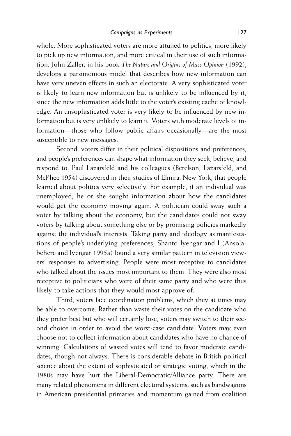whole. More sophisticated voters are more attuned to politics, more likely to pick up new information, and more critical in their use of such information. John Zaller, in his book *The Nature and Origins of Mass Opinion* (1992), develops a parsimonious model that describes how new information can have very uneven effects in such an electorate. A very sophisticated voter is likely to learn new information but is unlikely to be influenced by it, since the new information adds little to the voter's existing cache of knowledge. An unsophisticated voter is very likely to be influenced by new information but is very unlikely to learn it. Voters with moderate levels of information—those who follow public affairs occasionally—are the most susceptible to new messages.

Second, voters differ in their political dispositions and preferences, and people's preferences can shape what information they seek, believe, and respond to. Paul Lazarsfeld and his colleagues (Berelson, Lazarsfeld, and McPhee 1954) discovered in their studies of Elmira, New York, that people learned about politics very selectively. For example, if an individual was unemployed, he or she sought information about how the candidates would get the economy moving again. A politician could sway such a voter by talking about the economy, but the candidates could not sway voters by talking about something else or by promising policies markedly against the individual's interests. Taking party and ideology as manifestations of people's underlying preferences, Shanto Iyengar and I (Ansolabehere and Iyengar 1995a) found a very similar pattern in television viewers' responses to advertising. People were most receptive to candidates who talked about the issues most important to them. They were also most receptive to politicians who were of their same party and who were thus likely to take actions that they would most approve of.

Third, voters face coordination problems, which they at times may be able to overcome. Rather than waste their votes on the candidate who they prefer best but who will certainly lose, voters may switch to their second choice in order to avoid the worst-case candidate. Voters may even choose not to collect information about candidates who have no chance of winning. Calculations of wasted votes will tend to favor moderate candidates, though not always. There is considerable debate in British political science about the extent of sophisticated or strategic voting, which in the 1980s may have hurt the Liberal-Democratic/Alliance party. There are many related phenomena in different electoral systems, such as bandwagons in American presidential primaries and momentum gained from coalition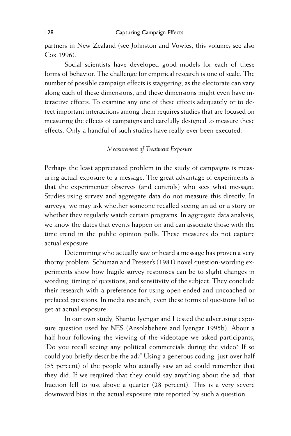partners in New Zealand (see Johnston and Vowles, this volume; see also Cox 1996).

Social scientists have developed good models for each of these forms of behavior. The challenge for empirical research is one of scale. The number of possible campaign effects is staggering, as the electorate can vary along each of these dimensions, and these dimensions might even have interactive effects. To examine any one of these effects adequately or to detect important interactions among them requires studies that are focused on measuring the effects of campaigns and carefully designed to measure these effects. Only a handful of such studies have really ever been executed.

### *Measurement of Treatment Exposure*

Perhaps the least appreciated problem in the study of campaigns is measuring actual exposure to a message. The great advantage of experiments is that the experimenter observes (and controls) who sees what message. Studies using survey and aggregate data do not measure this directly. In surveys, we may ask whether someone recalled seeing an ad or a story or whether they regularly watch certain programs. In aggregate data analysis, we know the dates that events happen on and can associate those with the time trend in the public opinion polls. These measures do not capture actual exposure.

Determining who actually saw or heard a message has proven a very thorny problem. Schuman and Presser's (1981) novel question-wording experiments show how fragile survey responses can be to slight changes in wording, timing of questions, and sensitivity of the subject. They conclude their research with a preference for using open-ended and uncoached or prefaced questions. In media research, even these forms of questions fail to get at actual exposure.

In our own study, Shanto Iyengar and I tested the advertising exposure question used by NES (Ansolabehere and Iyengar 1995b). About a half hour following the viewing of the videotape we asked participants, "Do you recall seeing any political commercials during the video? If so could you briefly describe the ad?" Using a generous coding, just over half (55 percent) of the people who actually saw an ad could remember that they did. If we required that they could say anything about the ad, that fraction fell to just above a quarter (28 percent). This is a very severe downward bias in the actual exposure rate reported by such a question.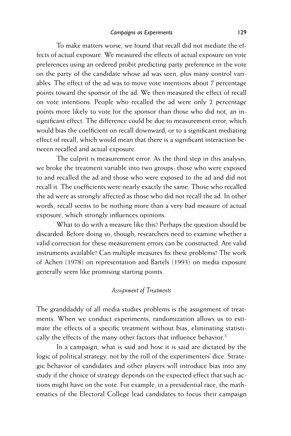To make matters worse, we found that recall did not mediate the effects of actual exposure. We measured the effects of actual exposure on vote preferences using an ordered probit predicting party preference in the vote on the party of the candidate whose ad was seen, plus many control variables. The effect of the ad was to move vote intentions about 7 percentage points toward the sponsor of the ad. We then measured the effect of recall on vote intentions. People who recalled the ad were only 2 percentage points more likely to vote for the sponsor than those who did not, an insignificant effect. The difference could be due to measurement error, which would bias the coefficient on recall downward, or to a significant mediating effect of recall, which would mean that there is a significant interaction between recalled and actual exposure.

The culprit is measurement error. As the third step in this analysis, we broke the treatment variable into two groups: those who were exposed to and recalled the ad and those who were exposed to the ad and did not recall it. The coefficients were nearly exactly the same. Those who recalled the ad were as strongly affected as those who did not recall the ad. In other words, recall seems to be nothing more than a very bad measure of actual exposure, which strongly influences opinions.

What to do with a measure like this? Perhaps the question should be discarded. Before doing so, though, researchers need to examine whether a valid correction for these measurement errors can be constructed. Are valid instruments available? Can multiple measures fix these problems? The work of Achen (1978) on representation and Bartels (1993) on media exposure generally seem like promising starting points.

### *Assignment of Treatments*

The granddaddy of all media studies problems is the assignment of treatments. When we conduct experiments, randomization allows us to estimate the effects of a specific treatment without bias, eliminating statistically the effects of the many other factors that influence behavior.<sup>3</sup>

In a campaign, what is said and how it is said are dictated by the logic of political strategy, not by the roll of the experimenters' dice. Strategic behavior of candidates and other players will introduce bias into any study if the choice of strategy depends on the expected effect that such actions might have on the vote. For example, in a presidential race, the mathematics of the Electoral College lead candidates to focus their campaign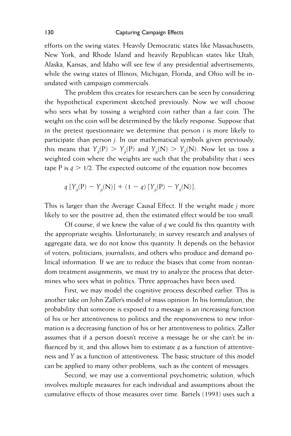efforts on the swing states. Heavily Democratic states like Massachusetts, New York, and Rhode Island and heavily Republican states like Utah, Alaska, Kansas, and Idaho will see few if any presidential advertisements, while the swing states of Illinois, Michigan, Florida, and Ohio will be inundated with campaign commercials.

The problem this creates for researchers can be seen by considering the hypothetical experiment sketched previously. Now we will choose who sees what by tossing a weighted coin rather than a fair coin. The weight on the coin will be determined by the likely response. Suppose that in the pretest questionnaire we determine that person *i* is more likely to participate than person *j.* In our mathematical symbols given previously, this means that  $Y_{it}(P) > Y_{it}(P)$  and  $Y_{it}(N) > Y_{it}(N)$ . Now let us toss a weighted coin where the weights are such that the probability that *i* sees tape P is  $q > 1/2$ . The expected outcome of the equation now becomes

$$
q [Y_{it}(P) - Y_{it}(N)] + (1 - q) [Y_{it}(P) - Y_{it}(N)].
$$

This is larger than the Average Causal Effect. If the weight made *j* more likely to see the positive ad, then the estimated effect would be too small.

Of course, if we knew the value of *q* we could fix this quantity with the appropriate weights. Unfortunately, in survey research and analyses of aggregate data, we do not know this quantity. It depends on the behavior of voters, politicians, journalists, and others who produce and demand political information. If we are to reduce the biases that come from nonrandom treatment assignments, we must try to analyze the process that determines who sees what in politics. Three approaches have been used.

First, we may model the cognitive process described earlier. This is another take on John Zaller's model of mass opinion. In his formulation, the probability that someone is exposed to a message is an increasing function of his or her attentiveness to politics and the responsiveness to new information is a decreasing function of his or her attentiveness to politics. Zaller assumes that if a person doesn't receive a message he or she can't be influenced by it, and this allows him to estimate  $q$  as a function of attentiveness and *Y* as a function of attentiveness. The basic structure of this model can be applied to many other problems, such as the content of messages.

Second, we may use a conventional psychometric solution, which involves multiple measures for each individual and assumptions about the cumulative effects of those measures over time. Bartels (1993) uses such a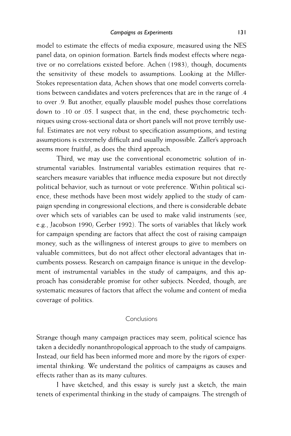model to estimate the effects of media exposure, measured using the NES panel data, on opinion formation. Bartels finds modest effects where negative or no correlations existed before. Achen (1983), though, documents the sensitivity of these models to assumptions. Looking at the Miller-Stokes representation data, Achen shows that one model converts correlations between candidates and voters preferences that are in the range of .4 to over .9. But another, equally plausible model pushes those correlations down to .10 or .05. I suspect that, in the end, these psychometric techniques using cross-sectional data or short panels will not prove terribly useful. Estimates are not very robust to specification assumptions, and testing assumptions is extremely difficult and usually impossible. Zaller's approach seems more fruitful, as does the third approach.

Third, we may use the conventional econometric solution of instrumental variables. Instrumental variables estimation requires that researchers measure variables that influence media exposure but not directly political behavior, such as turnout or vote preference. Within political science, these methods have been most widely applied to the study of campaign spending in congressional elections, and there is considerable debate over which sets of variables can be used to make valid instruments (see, e.g., Jacobson 1990; Gerber 1992). The sorts of variables that likely work for campaign spending are factors that affect the cost of raising campaign money, such as the willingness of interest groups to give to members on valuable committees, but do not affect other electoral advantages that incumbents possess. Research on campaign finance is unique in the development of instrumental variables in the study of campaigns, and this approach has considerable promise for other subjects. Needed, though, are systematic measures of factors that affect the volume and content of media coverage of politics.

### Conclusions

Strange though many campaign practices may seem, political science has taken a decidedly nonanthropological approach to the study of campaigns. Instead, our field has been informed more and more by the rigors of experimental thinking. We understand the politics of campaigns as causes and effects rather than as its many cultures.

I have sketched, and this essay is surely just a sketch, the main tenets of experimental thinking in the study of campaigns. The strength of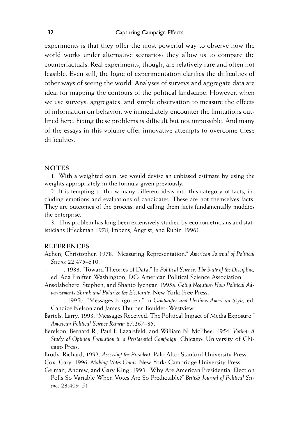experiments is that they offer the most powerful way to observe how the world works under alternative scenarios; they allow us to compare the counterfactuals. Real experiments, though, are relatively rare and often not feasible. Even still, the logic of experimentation clarifies the difficulties of other ways of seeing the world. Analyses of surveys and aggregate data are ideal for mapping the contours of the political landscape. However, when we use surveys, aggregates, and simple observation to measure the effects of information on behavior, we immediately encounter the limitations outlined here. Fixing these problems is difficult but not impossible. And many of the essays in this volume offer innovative attempts to overcome these difficulties

### **NOTES**

1. With a weighted coin, we would devise an unbiased estimate by using the weights appropriately in the formula given previously.

2. It is tempting to throw many different ideas into this category of facts, including emotions and evaluations of candidates. These are not themselves facts. They are outcomes of the process, and calling them facts fundamentally muddies the enterprise.

3. This problem has long been extensively studied by econometricians and statisticians (Heckman 1978; Imbens, Angrist, and Rubin 1996).

#### **REFERENCES**

Achen, Christopher. 1978. "Measuring Representation." *American Journal of Political Science* 22:475–510.

———. 1983. "Toward Theories of Data." In *Political Science: The State of the Discipline,* ed. Ada Finifter. Washington, DC: American Political Science Association.

Ansolabehere, Stephen, and Shanto Iyengar. 1995a. *Going Negative: How Political Advertisements Shrink and Polarize the Electorate.* New York: Free Press.

———. 1995b. "Messages Forgotten." In *Campaigns and Elections American Style,* ed. Candice Nelson and James Thurber. Boulder: Westview.

- Bartels, Larry. 1993. "Messages Received: The Political Impact of Media Exposure." *American Political Science Review* 87:267–85.
- Berelson, Bernard R., Paul F. Lazarsfeld, and William N. McPhee. 1954. *Voting: A Study of Opinion Formation in a Presidential Campaign.* Chicago: University of Chicago Press.
- Brody, Richard, 1992. *Assessing the President.* Palo Alto: Stanford University Press.

Cox, Gary. 1996. *Making Votes Count.* New York: Cambridge University Press.

Gelman, Andrew, and Gary King. 1993. "Why Are American Presidential Election Polls So Variable When Votes Are So Predictable?" *British Journal of Political Science* 23:409–51.